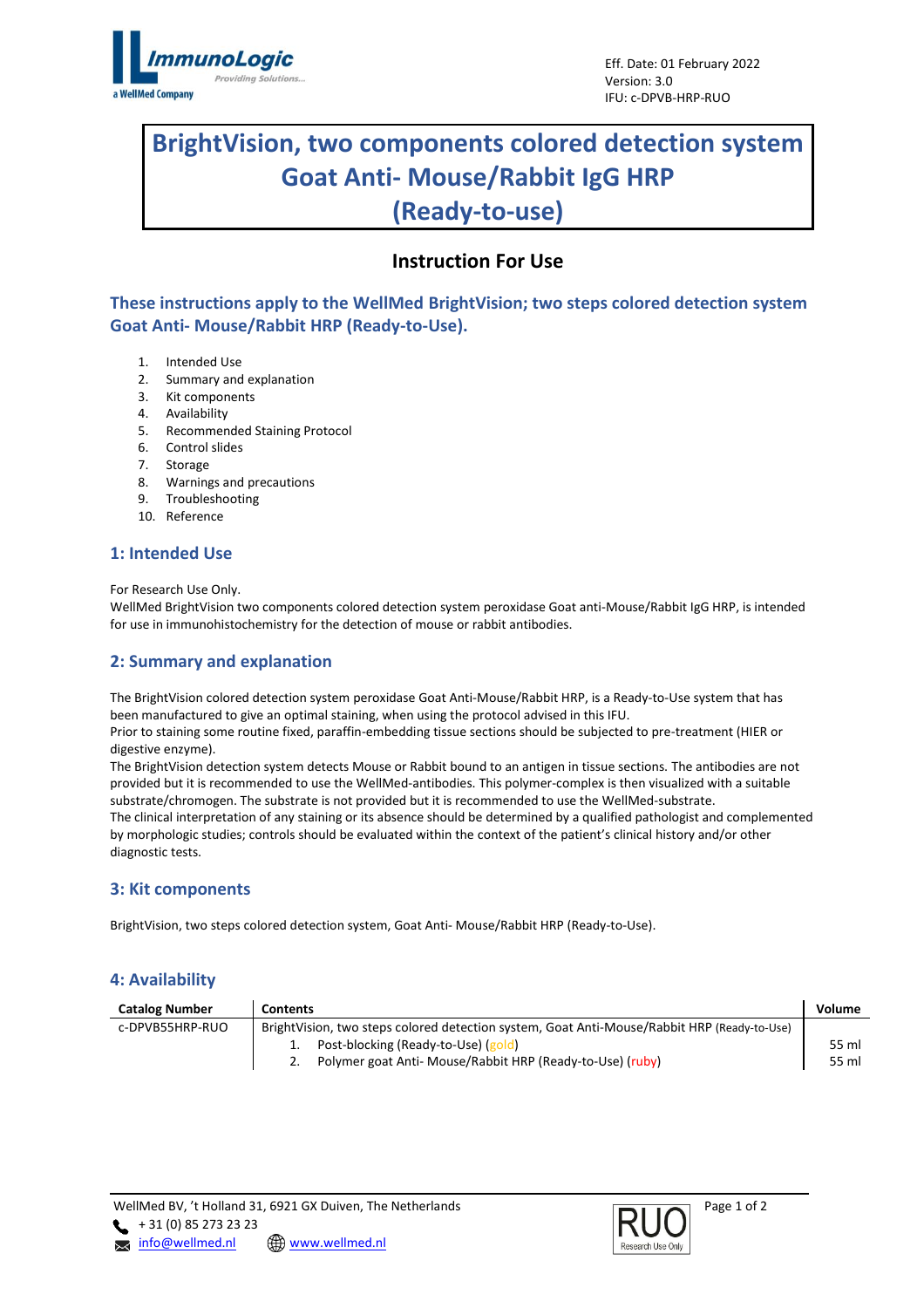

# **BrightVision, two components colored detection system Goat Anti- Mouse/Rabbit IgG HRP (Ready-to-use)**

## **Instruction For Use**

**These instructions apply to the WellMed BrightVision; two steps colored detection system Goat Anti- Mouse/Rabbit HRP (Ready-to-Use).**

- 1. Intended Use
- 2. Summary and explanation
- 3. Kit components
- 4. Availability
- 5. Recommended Staining Protocol
- 6. Control slides
- 7. Storage
- 8. Warnings and precautions
- 9. Troubleshooting
- 10. Reference

## **1: Intended Use**

For Research Use Only.

WellMed BrightVision two components colored detection system peroxidase Goat anti-Mouse/Rabbit IgG HRP, is intended for use in immunohistochemistry for the detection of mouse or rabbit antibodies.

## **2: Summary and explanation**

The BrightVision colored detection system peroxidase Goat Anti-Mouse/Rabbit HRP, is a Ready-to-Use system that has been manufactured to give an optimal staining, when using the protocol advised in this IFU.

Prior to staining some routine fixed, paraffin-embedding tissue sections should be subjected to pre-treatment (HIER or digestive enzyme).

The BrightVision detection system detects Mouse or Rabbit bound to an antigen in tissue sections. The antibodies are not provided but it is recommended to use the WellMed-antibodies. This polymer-complex is then visualized with a suitable substrate/chromogen. The substrate is not provided but it is recommended to use the WellMed-substrate. The clinical interpretation of any staining or its absence should be determined by a qualified pathologist and complemented

by morphologic studies; controls should be evaluated within the context of the patient's clinical history and/or other diagnostic tests.

## **3: Kit components**

BrightVision, two steps colored detection system, Goat Anti- Mouse/Rabbit HRP (Ready-to-Use).

## **4: Availability**

| <b>Catalog Number</b> | <b>Contents</b>                                                                             | Volume |
|-----------------------|---------------------------------------------------------------------------------------------|--------|
| c-DPVB55HRP-RUO       | BrightVision, two steps colored detection system, Goat Anti-Mouse/Rabbit HRP (Ready-to-Use) |        |
|                       | Post-blocking (Ready-to-Use) (gold)                                                         | 55 ml  |
|                       | Polymer goat Anti- Mouse/Rabbit HRP (Ready-to-Use) (ruby)                                   | 55 ml  |